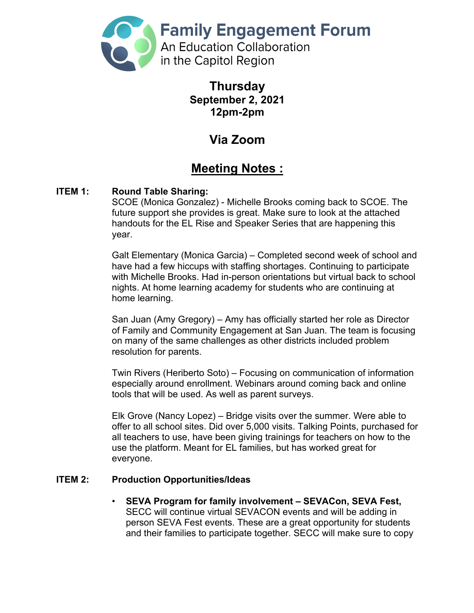

**Thursday September 2, 2021 12pm-2pm**

# **Via Zoom**

## **Meeting Notes :**

### **ITEM 1: Round Table Sharing:**

SCOE (Monica Gonzalez) - Michelle Brooks coming back to SCOE. The future support she provides is great. Make sure to look at the attached handouts for the EL Rise and Speaker Series that are happening this year.

Galt Elementary (Monica Garcia) – Completed second week of school and have had a few hiccups with staffing shortages. Continuing to participate with Michelle Brooks. Had in-person orientations but virtual back to school nights. At home learning academy for students who are continuing at home learning.

San Juan (Amy Gregory) – Amy has officially started her role as Director of Family and Community Engagement at San Juan. The team is focusing on many of the same challenges as other districts included problem resolution for parents.

Twin Rivers (Heriberto Soto) – Focusing on communication of information especially around enrollment. Webinars around coming back and online tools that will be used. As well as parent surveys.

Elk Grove (Nancy Lopez) – Bridge visits over the summer. Were able to offer to all school sites. Did over 5,000 visits. Talking Points, purchased for all teachers to use, have been giving trainings for teachers on how to the use the platform. Meant for EL families, but has worked great for everyone.

### **ITEM 2: Production Opportunities/Ideas**

• **SEVA Program for family involvement – SEVACon, SEVA Fest,** SECC will continue virtual SEVACON events and will be adding in person SEVA Fest events. These are a great opportunity for students and their families to participate together. SECC will make sure to copy